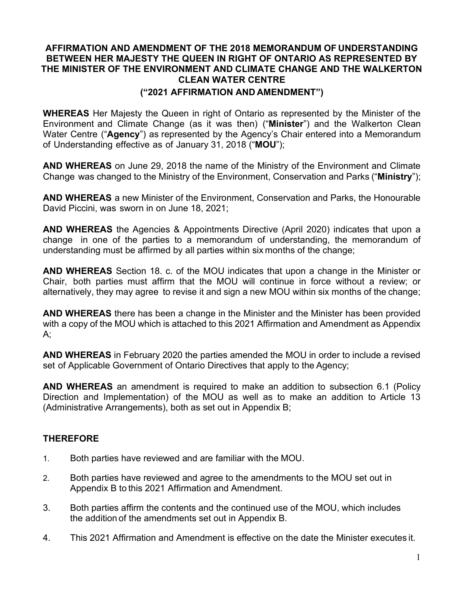# AFFIRMATION AND AMENDMENT OF THE 2018 MEMORANDUM OF UNDERSTANDING BETWEEN HER MAJESTY THE QUEEN IN RIGHT OF ONTARIO AS REPRESENTED BY THE MINISTER OF THE ENVIRONMENT AND CLIMATE CHANGE AND THE WALKERTON CLEAN WATER CENTRE

### ("2021 AFFIRMATION AND AMENDMENT")

WHEREAS Her Majesty the Queen in right of Ontario as represented by the Minister of the Environment and Climate Change (as it was then) ("Minister") and the Walkerton Clean Water Centre ("Agency") as represented by the Agency's Chair entered into a Memorandum of Understanding effective as of January 31, 2018 ("MOU");

AND WHEREAS on June 29, 2018 the name of the Ministry of the Environment and Climate Change was changed to the Ministry of the Environment, Conservation and Parks ("Ministry");

AND WHEREAS a new Minister of the Environment, Conservation and Parks, the Honourable David Piccini, was sworn in on June 18, 2021;

AND WHEREAS the Agencies & Appointments Directive (April 2020) indicates that upon a change in one of the parties to a memorandum of understanding, the memorandum of understanding must be affirmed by all parties within six months of the change;

AND WHEREAS Section 18. c. of the MOU indicates that upon a change in the Minister or Chair, both parties must affirm that the MOU will continue in force without a review; or alternatively, they may agree to revise it and sign a new MOU within six months of the change;

AND WHEREAS there has been a change in the Minister and the Minister has been provided with a copy of the MOU which is attached to this 2021 Affirmation and Amendment as Appendix  $A$ :

AND WHEREAS in February 2020 the parties amended the MOU in order to include a revised set of Applicable Government of Ontario Directives that apply to the Agency;

AND WHEREAS an amendment is required to make an addition to subsection 6.1 (Policy Direction and Implementation) of the MOU as well as to make an addition to Article 13 (Administrative Arrangements), both as set out in Appendix B;

### THEREFORE

- 1. Both parties have reviewed and are familiar with the MOU.
- 2. Both parties have reviewed and agree to the amendments to the MOU set out in Appendix B to this 2021 Affirmation and Amendment.
- 3. Both parties affirm the contents and the continued use of the MOU, which includes the addition of the amendments set out in Appendix B.
- 4. This 2021 Affirmation and Amendment is effective on the date the Minister executes it.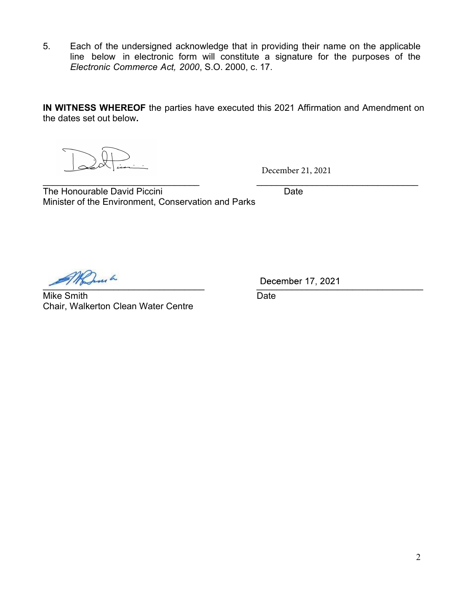5. Each of the undersigned acknowledge that in providing their name on the applicable line below in electronic form will constitute a signature for the purposes of the Electronic Commerce Act, 2000, S.O. 2000, c. 17.

IN WITNESS WHEREOF the parties have executed this 2021 Affirmation and Amendment on the dates set out below.

 $\mathcal{L}_\text{max}$  , and the contribution of the contribution of the contribution of the contribution of the contribution of the contribution of the contribution of the contribution of the contribution of the contribution of t

December 21, 2021

The Honourable David Piccini **Example 2018** Date Minister of the Environment, Conservation and Parks

 $D = C = C = C \cdot C \cdot C$ 

Mike Smith Date Chair, Walkerton Clean Water Centre